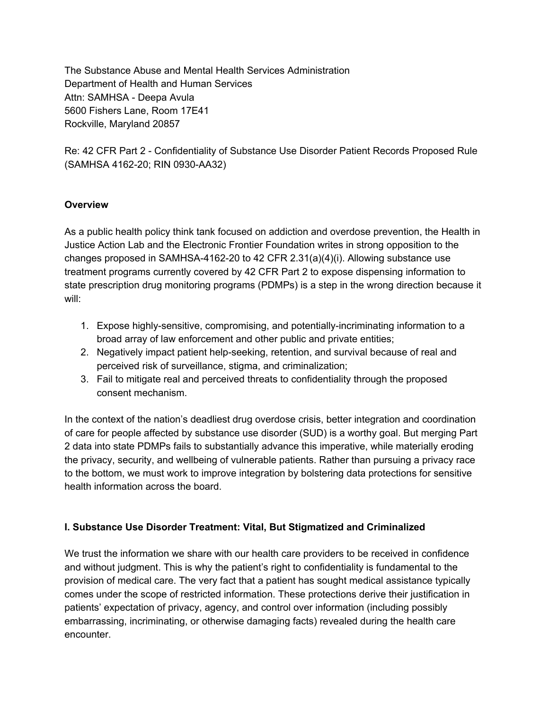The Substance Abuse and Mental Health Services Administration Department of Health and Human Services Attn: SAMHSA - Deepa Avula 5600 Fishers Lane, Room 17E41 Rockville, Maryland 20857

Re: 42 CFR Part 2 - Confidentiality of Substance Use Disorder Patient Records Proposed Rule (SAMHSA 4162-20; RIN 0930-AA32)

### **Overview**

As a public health policy think tank focused on addiction and overdose prevention, the Health in Justice Action Lab and the Electronic Frontier Foundation writes in strong opposition to the changes proposed in SAMHSA-4162-20 to 42 CFR 2.31(a)(4)(i). Allowing substance use treatment programs currently covered by 42 CFR Part 2 to expose dispensing information to state prescription drug monitoring programs (PDMPs) is a step in the wrong direction because it will:

- 1. Expose highly-sensitive, compromising, and potentially-incriminating information to a broad array of law enforcement and other public and private entities;
- 2. Negatively impact patient help-seeking, retention, and survival because of real and perceived risk of surveillance, stigma, and criminalization;
- 3. Fail to mitigate real and perceived threats to confidentiality through the proposed consent mechanism.

In the context of the nation's deadliest drug overdose crisis, better integration and coordination of care for people affected by substance use disorder (SUD) is a worthy goal. But merging Part 2 data into state PDMPs fails to substantially advance this imperative, while materially eroding the privacy, security, and wellbeing of vulnerable patients. Rather than pursuing a privacy race to the bottom, we must work to improve integration by bolstering data protections for sensitive health information across the board.

# **I. Substance Use Disorder Treatment: Vital, But Stigmatized and Criminalized**

We trust the information we share with our health care providers to be received in confidence and without judgment. This is why the patient's right to confidentiality is fundamental to the provision of medical care. The very fact that a patient has sought medical assistance typically comes under the scope of restricted information. These protections derive their justification in patients' expectation of privacy, agency, and control over information (including possibly embarrassing, incriminating, or otherwise damaging facts) revealed during the health care encounter.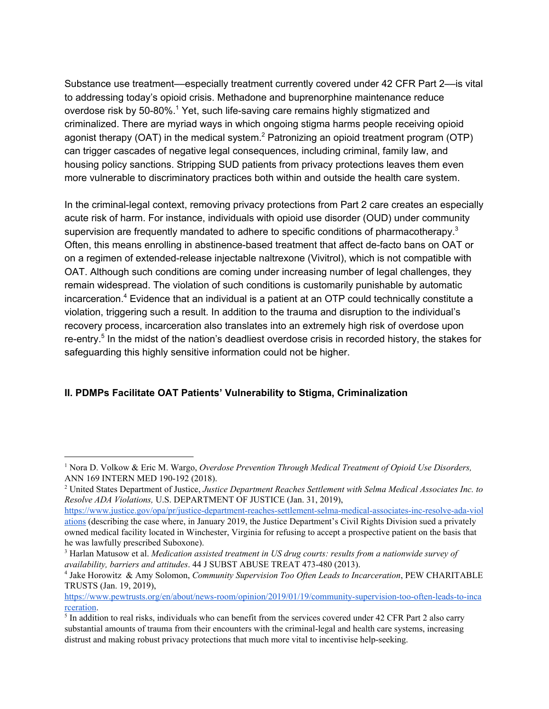Substance use treatment––especially treatment currently covered under 42 CFR Part 2––is vital to addressing today's opioid crisis. Methadone and buprenorphine maintenance reduce overdose risk by 50-80%.<sup>1</sup> Yet, such life-saving care remains highly stigmatized and criminalized. There are myriad ways in which ongoing stigma harms people receiving opioid agonist therapy (OAT) in the medical system.<sup>2</sup> Patronizing an opioid treatment program (OTP) can trigger cascades of negative legal consequences, including criminal, family law, and housing policy sanctions. Stripping SUD patients from privacy protections leaves them even more vulnerable to discriminatory practices both within and outside the health care system.

In the criminal-legal context, removing privacy protections from Part 2 care creates an especially acute risk of harm. For instance, individuals with opioid use disorder (OUD) under community supervision are frequently mandated to adhere to specific conditions of pharmacotherapy.<sup>3</sup> Often, this means enrolling in abstinence-based treatment that affect de-facto bans on OAT or on a regimen of extended-release injectable naltrexone (Vivitrol), which is not compatible with OAT. Although such conditions are coming under increasing number of legal challenges, they remain widespread. The violation of such conditions is customarily punishable by automatic incarceration.<sup>4</sup> Evidence that an individual is a patient at an OTP could technically constitute a violation, triggering such a result. In addition to the trauma and disruption to the individual's recovery process, incarceration also translates into an extremely high risk of overdose upon re-entry.<sup>5</sup> In the midst of the nation's deadliest overdose crisis in recorded history, the stakes for safeguarding this highly sensitive information could not be higher.

### **II. PDMPs Facilitate OAT Patients' Vulnerability to Stigma, Criminalization**

<sup>1</sup> Nora D. Volkow & Eric M. Wargo, *Overdose Prevention Through Medical Treatment of Opioid Use Disorders,* ANN 169 INTERN MED 190-192 (2018).

<sup>2</sup> United States Department of Justice, *Justice Department Reaches Settlement with Selma Medical Associates Inc. to Resolve ADA Violations,* U.S. DEPARTMENT OF JUSTICE (Jan. 31, 2019),

[https://www.justice.gov/opa/pr/justice-department-reaches-settlement-selma-medical-associates-inc-resolve-ada-viol](https://www.justice.gov/opa/pr/justice-department-reaches-settlement-selma-medical-associates-inc-resolve-ada-violations) [ations](https://www.justice.gov/opa/pr/justice-department-reaches-settlement-selma-medical-associates-inc-resolve-ada-violations) (describing the case where, in January 2019, the Justice Department's Civil Rights Division sued a privately owned medical facility located in Winchester, Virginia for refusing to accept a prospective patient on the basis that he was lawfully prescribed Suboxone).

<sup>3</sup> Harlan Matusow et al. *Medication assisted treatment in US drug courts: results from a nationwide survey of availability, barriers and attitudes*. 44 J SUBST ABUSE TREAT 473-480 (2013).

<sup>4</sup> Jake Horowitz & Amy Solomon, *Community Supervision Too Often Leads to Incarceration*, PEW CHARITABLE TRUSTS (Jan. 19, 2019),

[https://www.pewtrusts.org/en/about/news-room/opinion/2019/01/19/community-supervision-too-often-leads-to-inca](https://www.pewtrusts.org/en/about/news-room/opinion/2019/01/19/community-supervision-too-often-leads-to-incarceration) [rceration](https://www.pewtrusts.org/en/about/news-room/opinion/2019/01/19/community-supervision-too-often-leads-to-incarceration).

 $<sup>5</sup>$  In addition to real risks, individuals who can benefit from the services covered under 42 CFR Part 2 also carry</sup> substantial amounts of trauma from their encounters with the criminal-legal and health care systems, increasing distrust and making robust privacy protections that much more vital to incentivise help-seeking.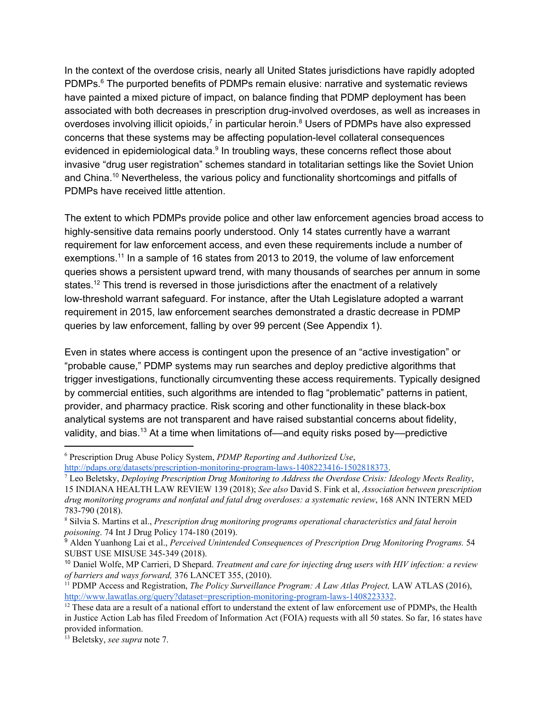In the context of the overdose crisis, nearly all United States jurisdictions have rapidly adopted PDMPs. $\textdegree$  The purported benefits of PDMPs remain elusive: narrative and systematic reviews have painted a mixed picture of impact, on balance finding that PDMP deployment has been associated with both decreases in prescription drug-involved overdoses, as well as increases in overdoses involving illicit opioids,<sup>7</sup> in particular heroin.<sup>8</sup> Users of PDMPs have also expressed concerns that these systems may be affecting population-level collateral consequences evidenced in epidemiological data.<sup>9</sup> In troubling ways, these concerns reflect those about invasive "drug user registration" schemes standard in totalitarian settings like the Soviet Union and China.<sup>10</sup> Nevertheless, the various policy and functionality shortcomings and pitfalls of PDMPs have received little attention.

The extent to which PDMPs provide police and other law enforcement agencies broad access to highly-sensitive data remains poorly understood. Only 14 states currently have a warrant requirement for law enforcement access, and even these requirements include a number of exemptions.<sup>11</sup> In a sample of 16 states from 2013 to 2019, the volume of law enforcement queries shows a persistent upward trend, with many thousands of searches per annum in some states.<sup>12</sup> This trend is reversed in those jurisdictions after the enactment of a relatively low-threshold warrant safeguard. For instance, after the Utah Legislature adopted a warrant requirement in 2015, law enforcement searches demonstrated a drastic decrease in PDMP queries by law enforcement, falling by over 99 percent (See Appendix 1).

Even in states where access is contingent upon the presence of an "active investigation" or "probable cause," PDMP systems may run searches and deploy predictive algorithms that trigger investigations, functionally circumventing these access requirements. Typically designed by commercial entities, such algorithms are intended to flag "problematic" patterns in patient, provider, and pharmacy practice. Risk scoring and other functionality in these black-box analytical systems are not transparent and have raised substantial concerns about fidelity, validity, and bias.<sup>13</sup> At a time when limitations of—and equity risks posed by—predictive

<sup>6</sup> Prescription Drug Abuse Policy System, *PDMP Reporting and Authorized Use*, [http://pdaps.org/datasets/prescription-monitoring-program-laws-1408223416-1502818373.](http://pdaps.org/datasets/prescription-monitoring-program-laws-1408223416-1502818373)

<sup>7</sup> Leo Beletsky, *Deploying Prescription Drug Monitoring to Address the Overdose Crisis: Ideology Meets Reality*, 15 INDIANA HEALTH LAW REVIEW 139 (2018); *See also* David S. Fink et al, *Association between prescription drug monitoring programs and nonfatal and fatal drug overdoses: a systematic review*, 168 ANN INTERN MED 783-790 (2018).

<sup>8</sup> Silvia S. Martins et al., *Prescription drug monitoring programs operational characteristics and fatal heroin poisoning*. 74 Int J Drug Policy 174-180 (2019).

<sup>9</sup> Alden Yuanhong Lai et al., *Perceived Unintended Consequences of Prescription Drug Monitoring Programs.* 54 SUBST USE MISUSE 345-349 (2018).

<sup>10</sup> Daniel Wolfe, MP Carrieri, D Shepard. *Treatment and care for injecting drug users with HIV infection: a review of barriers and ways forward,* 376 LANCET 355, (2010).

<sup>11</sup> PDMP Access and Registration, *The Policy Surveillance Program: A Law Atlas Project,* LAW ATLAS (2016), [http://www.lawatlas.org/query?dataset=prescription-monitoring-program-laws-1408223332.](http://www.lawatlas.org/query?dataset=prescription-monitoring-program-laws-1408223332)

 $12$  These data are a result of a national effort to understand the extent of law enforcement use of PDMPs, the Health in Justice Action Lab has filed Freedom of Information Act (FOIA) requests with all 50 states. So far, 16 states have provided information.

<sup>13</sup> Beletsky, *see supra* note 7.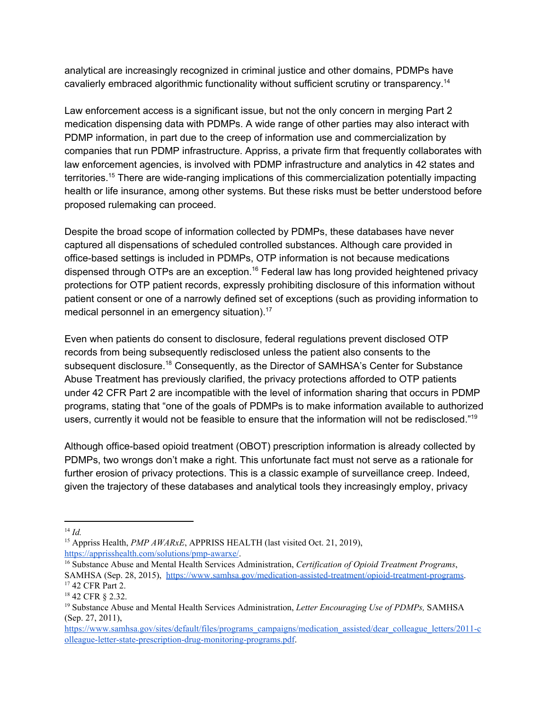analytical are increasingly recognized in criminal justice and other domains, PDMPs have cavalierly embraced algorithmic functionality without sufficient scrutiny or transparency.<sup>14</sup>

Law enforcement access is a significant issue, but not the only concern in merging Part 2 medication dispensing data with PDMPs. A wide range of other parties may also interact with PDMP information, in part due to the creep of information use and commercialization by companies that run PDMP infrastructure. Appriss, a private firm that frequently collaborates with law enforcement agencies, is involved with PDMP infrastructure and analytics in 42 states and territories.<sup>15</sup> There are wide-ranging implications of this commercialization potentially impacting health or life insurance, among other systems. But these risks must be better understood before proposed rulemaking can proceed.

Despite the broad scope of information collected by PDMPs, these databases have never captured all dispensations of scheduled controlled substances. Although care provided in office-based settings is included in PDMPs, OTP information is not because medications dispensed through OTPs are an exception.<sup>16</sup> Federal law has long provided heightened privacy protections for OTP patient records, expressly prohibiting disclosure of this information without patient consent or one of a narrowly defined set of exceptions (such as providing information to medical personnel in an emergency situation).<sup>17</sup>

Even when patients do consent to disclosure, federal regulations prevent disclosed OTP records from being subsequently redisclosed unless the patient also consents to the subsequent disclosure.<sup>18</sup> Consequently, as the Director of SAMHSA's Center for Substance Abuse Treatment has previously clarified, the privacy protections afforded to OTP patients under 42 CFR Part 2 are incompatible with the level of information sharing that occurs in PDMP programs, stating that "one of the goals of PDMPs is to make information available to authorized users, currently it would not be feasible to ensure that the information will not be redisclosed."<sup>19</sup>

Although office-based opioid treatment (OBOT) prescription information is already collected by PDMPs, two wrongs don't make a right. This unfortunate fact must not serve as a rationale for further erosion of privacy protections. This is a classic example of surveillance creep. Indeed, given the trajectory of these databases and analytical tools they increasingly employ, privacy

<sup>14</sup> *Id.*

<sup>15</sup> Appriss Health, *PMP AWARxE*, APPRISS HEALTH (last visited Oct. 21, 2019), <https://apprisshealth.com/solutions/pmp-awarxe/>.

<sup>16</sup> Substance Abuse and Mental Health Services Administration, *Certification of Opioid Treatment Programs*, SAMHSA (Sep. 28, 2015), [https://www.samhsa.gov/medication-assisted-treatment/opioid-treatment-programs.](https://www.samhsa.gov/medication-assisted-treatment/opioid-treatment-programs) <sup>17</sup> 42 CFR Part 2.

<sup>18</sup> 42 CFR § 2.32.

<sup>19</sup> Substance Abuse and Mental Health Services Administration, *Letter Encouraging Use of PDMPs,* SAMHSA (Sep. 27, 2011),

[https://www.samhsa.gov/sites/default/files/programs\\_campaigns/medication\\_assisted/dear\\_colleague\\_letters/2011-c](https://www.samhsa.gov/sites/default/files/programs_campaigns/medication_assisted/dear_colleague_letters/2011-colleague-letter-state-prescription-drug-monitoring-programs.pdf) [olleague-letter-state-prescription-drug-monitoring-programs.pdf](https://www.samhsa.gov/sites/default/files/programs_campaigns/medication_assisted/dear_colleague_letters/2011-colleague-letter-state-prescription-drug-monitoring-programs.pdf).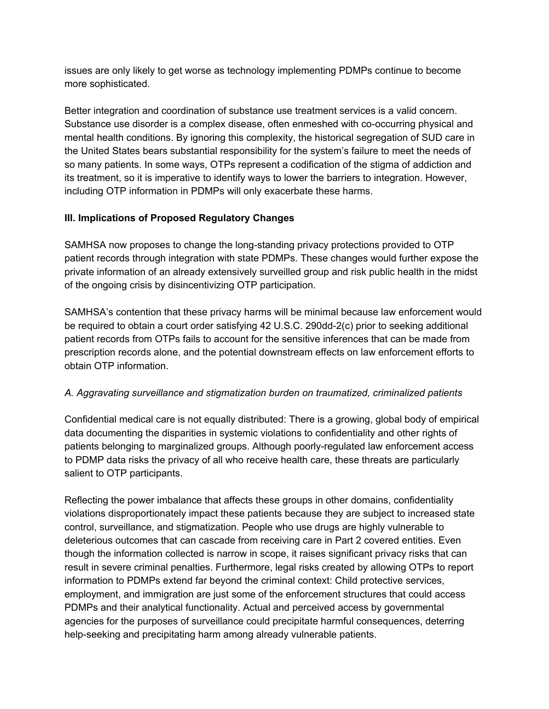issues are only likely to get worse as technology implementing PDMPs continue to become more sophisticated.

Better integration and coordination of substance use treatment services is a valid concern. Substance use disorder is a complex disease, often enmeshed with co-occurring physical and mental health conditions. By ignoring this complexity, the historical segregation of SUD care in the United States bears substantial responsibility for the system's failure to meet the needs of so many patients. In some ways, OTPs represent a codification of the stigma of addiction and its treatment, so it is imperative to identify ways to lower the barriers to integration. However, including OTP information in PDMPs will only exacerbate these harms.

## **III. Implications of Proposed Regulatory Changes**

SAMHSA now proposes to change the long-standing privacy protections provided to OTP patient records through integration with state PDMPs. These changes would further expose the private information of an already extensively surveilled group and risk public health in the midst of the ongoing crisis by disincentivizing OTP participation.

SAMHSA's contention that these privacy harms will be minimal because law enforcement would be required to obtain a court order satisfying 42 U.S.C. 290dd-2(c) prior to seeking additional patient records from OTPs fails to account for the sensitive inferences that can be made from prescription records alone, and the potential downstream effects on law enforcement efforts to obtain OTP information.

# *A. Aggravating surveillance and stigmatization burden on traumatized, criminalized patients*

Confidential medical care is not equally distributed: There is a growing, global body of empirical data documenting the disparities in systemic violations to confidentiality and other rights of patients belonging to marginalized groups. Although poorly-regulated law enforcement access to PDMP data risks the privacy of all who receive health care, these threats are particularly salient to OTP participants.

Reflecting the power imbalance that affects these groups in other domains, confidentiality violations disproportionately impact these patients because they are subject to increased state control, surveillance, and stigmatization. People who use drugs are highly vulnerable to deleterious outcomes that can cascade from receiving care in Part 2 covered entities. Even though the information collected is narrow in scope, it raises significant privacy risks that can result in severe criminal penalties. Furthermore, legal risks created by allowing OTPs to report information to PDMPs extend far beyond the criminal context: Child protective services, employment, and immigration are just some of the enforcement structures that could access PDMPs and their analytical functionality. Actual and perceived access by governmental agencies for the purposes of surveillance could precipitate harmful consequences, deterring help-seeking and precipitating harm among already vulnerable patients.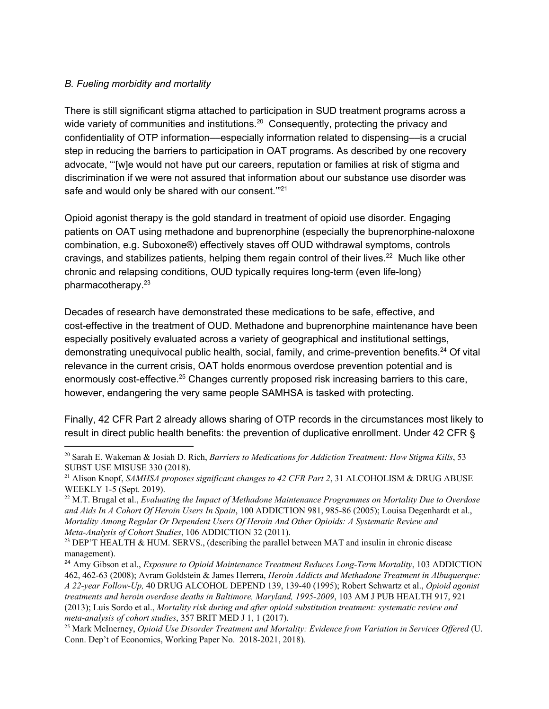#### *B. Fueling morbidity and mortality*

There is still significant stigma attached to participation in SUD treatment programs across a wide variety of communities and institutions.<sup>20</sup> Consequently, protecting the privacy and confidentiality of OTP information––especially information related to dispensing––is a crucial step in reducing the barriers to participation in OAT programs. As described by one recovery advocate, "'[w]e would not have put our careers, reputation or families at risk of stigma and discrimination if we were not assured that information about our substance use disorder was safe and would only be shared with our consent. $1^{221}$ 

Opioid agonist therapy is the gold standard in treatment of opioid use disorder. Engaging patients on OAT using methadone and buprenorphine (especially the buprenorphine-naloxone combination, e.g. Suboxone®) effectively staves off OUD withdrawal symptoms, controls cravings, and stabilizes patients, helping them regain control of their lives.<sup>22</sup> Much like other chronic and relapsing conditions, OUD typically requires long-term (even life-long) pharmacotherapy. 23

Decades of research have demonstrated these medications to be safe, effective, and cost-effective in the treatment of OUD. Methadone and buprenorphine maintenance have been especially positively evaluated across a variety of geographical and institutional settings, demonstrating unequivocal public health, social, family, and crime-prevention benefits.<sup>24</sup> Of vital relevance in the current crisis, OAT holds enormous overdose prevention potential and is enormously cost-effective.<sup>25</sup> Changes currently proposed risk increasing barriers to this care, however, endangering the very same people SAMHSA is tasked with protecting.

Finally, 42 CFR Part 2 already allows sharing of OTP records in the circumstances most likely to result in direct public health benefits: the prevention of duplicative enrollment. Under 42 CFR §

<sup>20</sup> Sarah E. Wakeman & Josiah D. Rich, *Barriers to Medications for Addiction Treatment: How Stigma Kills*, 53 SUBST USE MISUSE 330 (2018).

<sup>21</sup> Alison Knopf, *SAMHSA proposes significant changes to 42 CFR Part 2*, 31 ALCOHOLISM & DRUG ABUSE WEEKLY 1-5 (Sept. 2019).

<sup>22</sup> M.T. Brugal et al., *Evaluating the Impact of Methadone Maintenance Programmes on Mortality Due to Overdose and Aids In A Cohort Of Heroin Users In Spain*, 100 ADDICTION 981, 985-86 (2005); Louisa Degenhardt et al., *Mortality Among Regular Or Dependent Users Of Heroin And Other Opioids: A Systematic Review and Meta-Analysis of Cohort Studies*, 106 ADDICTION 32 (2011).

<sup>&</sup>lt;sup>23</sup> DEP'T HEALTH & HUM. SERVS., (describing the parallel between MAT and insulin in chronic disease management).

<sup>24</sup> Amy Gibson et al., *Exposure to Opioid Maintenance Treatment Reduces Long-Term Mortality*, 103 ADDICTION 462, 462-63 (2008); Avram Goldstein & James Herrera, *Heroin Addicts and Methadone Treatment in Albuquerque: A 22-year Follow-Up,* 40 DRUG ALCOHOL DEPEND 139, 139-40 (1995); Robert Schwartz et al., *Opioid agonist treatments and heroin overdose deaths in Baltimore, Maryland, 1995-2009*, 103 AM J PUB HEALTH 917, 921 (2013); Luis Sordo et al., *Mortality risk during and after opioid substitution treatment: systematic review and meta-analysis of cohort studies*, 357 BRIT MED J 1, 1 (2017).

<sup>25</sup> Mark McInerney, *Opioid Use Disorder Treatment and Mortality: Evidence from Variation in Services Of ered* (U. Conn. Dep't of Economics, Working Paper No. 2018-2021, 2018).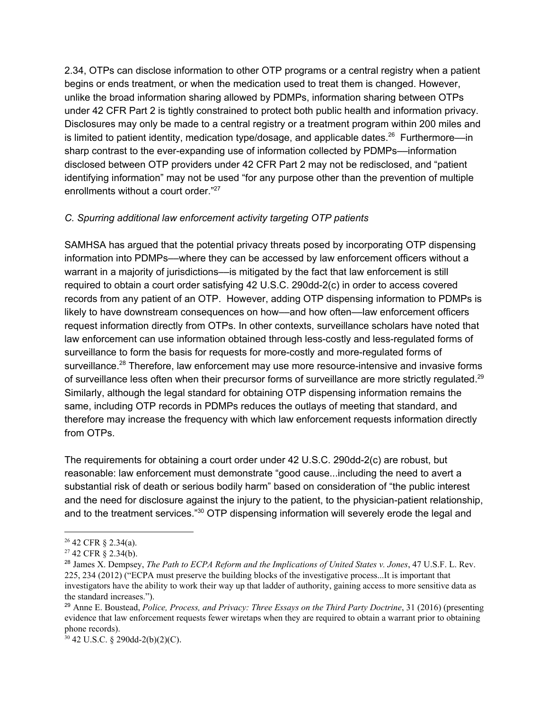2.34, OTPs can disclose information to other OTP programs or a central registry when a patient begins or ends treatment, or when the medication used to treat them is changed. However, unlike the broad information sharing allowed by PDMPs, information sharing between OTPs under 42 CFR Part 2 is tightly constrained to protect both public health and information privacy. Disclosures may only be made to a central registry or a treatment program within 200 miles and is limited to patient identity, medication type/dosage, and applicable dates.<sup>26</sup> Furthermore—in sharp contrast to the ever-expanding use of information collected by PDMPs––information disclosed between OTP providers under 42 CFR Part 2 may not be redisclosed, and "patient identifying information" may not be used "for any purpose other than the prevention of multiple enrollments without a court order."<sup>27</sup>

#### *C. Spurring additional law enforcement activity targeting OTP patients*

SAMHSA has argued that the potential privacy threats posed by incorporating OTP dispensing information into PDMPs––where they can be accessed by law enforcement officers without a warrant in a majority of jurisdictions—is mitigated by the fact that law enforcement is still required to obtain a court order satisfying 42 U.S.C. 290dd-2(c) in order to access covered records from any patient of an OTP. However, adding OTP dispensing information to PDMPs is likely to have downstream consequences on how––and how often––law enforcement officers request information directly from OTPs. In other contexts, surveillance scholars have noted that law enforcement can use information obtained through less-costly and less-regulated forms of surveillance to form the basis for requests for more-costly and more-regulated forms of surveillance.<sup>28</sup> Therefore, law enforcement may use more resource-intensive and invasive forms of surveillance less often when their precursor forms of surveillance are more strictly regulated.<sup>29</sup> Similarly, although the legal standard for obtaining OTP dispensing information remains the same, including OTP records in PDMPs reduces the outlays of meeting that standard, and therefore may increase the frequency with which law enforcement requests information directly from OTPs.

The requirements for obtaining a court order under 42 U.S.C. 290dd-2(c) are robust, but reasonable: law enforcement must demonstrate "good cause...including the need to avert a substantial risk of death or serious bodily harm" based on consideration of "the public interest and the need for disclosure against the injury to the patient, to the physician-patient relationship, and to the treatment services."<sup>30</sup> OTP dispensing information will severely erode the legal and

<sup>26</sup> 42 CFR § 2.34(a).

 $27$  42 CFR  $\frac{1}{2}$  2.34(b).

<sup>28</sup> James X. Dempsey, *The Path to ECPA Reform and the Implications of United States v. Jones*, 47 U.S.F. L. Rev. 225, 234 (2012) ("ECPA must preserve the building blocks of the investigative process...It is important that investigators have the ability to work their way up that ladder of authority, gaining access to more sensitive data as the standard increases.").

<sup>29</sup> Anne E. Boustead, *Police, Process, and Privacy: Three Essays on the Third Party Doctrine*, 31 (2016) (presenting evidence that law enforcement requests fewer wiretaps when they are required to obtain a warrant prior to obtaining phone records).

 $30$  42 U.S.C. § 290dd-2(b)(2)(C).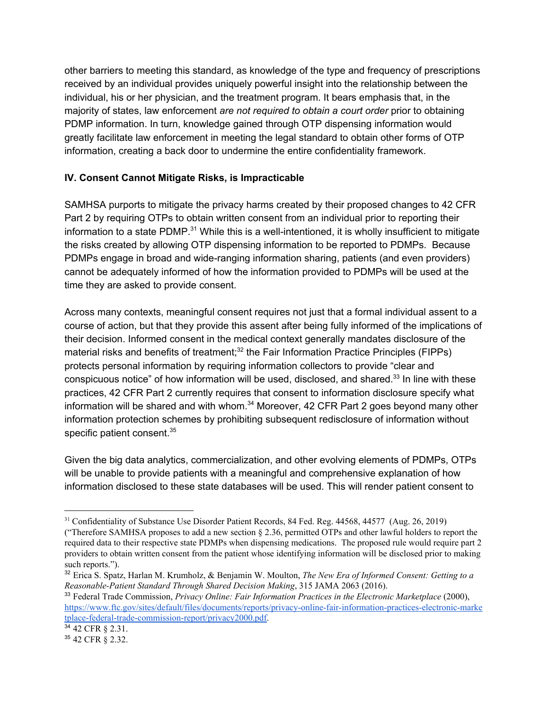other barriers to meeting this standard, as knowledge of the type and frequency of prescriptions received by an individual provides uniquely powerful insight into the relationship between the individual, his or her physician, and the treatment program. It bears emphasis that, in the majority of states, law enforcement *are not required to obtain a court order* prior to obtaining PDMP information. In turn, knowledge gained through OTP dispensing information would greatly facilitate law enforcement in meeting the legal standard to obtain other forms of OTP information, creating a back door to undermine the entire confidentiality framework.

## **IV. Consent Cannot Mitigate Risks, is Impracticable**

SAMHSA purports to mitigate the privacy harms created by their proposed changes to 42 CFR Part 2 by requiring OTPs to obtain written consent from an individual prior to reporting their information to a state PDMP.<sup>31</sup> While this is a well-intentioned, it is wholly insufficient to mitigate the risks created by allowing OTP dispensing information to be reported to PDMPs. Because PDMPs engage in broad and wide-ranging information sharing, patients (and even providers) cannot be adequately informed of how the information provided to PDMPs will be used at the time they are asked to provide consent.

Across many contexts, meaningful consent requires not just that a formal individual assent to a course of action, but that they provide this assent after being fully informed of the implications of their decision. Informed consent in the medical context generally mandates disclosure of the material risks and benefits of treatment;<sup>32</sup> the Fair Information Practice Principles (FIPPs) protects personal information by requiring information collectors to provide "clear and conspicuous notice" of how information will be used, disclosed, and shared. $33$  In line with these practices, 42 CFR Part 2 currently requires that consent to information disclosure specify what information will be shared and with whom. $34$  Moreover, 42 CFR Part 2 goes beyond many other information protection schemes by prohibiting subsequent redisclosure of information without specific patient consent.<sup>35</sup>

Given the big data analytics, commercialization, and other evolving elements of PDMPs, OTPs will be unable to provide patients with a meaningful and comprehensive explanation of how information disclosed to these state databases will be used. This will render patient consent to

<sup>&</sup>lt;sup>31</sup> Confidentiality of Substance Use Disorder Patient Records, 84 Fed. Reg. 44568, 44577 (Aug. 26, 2019) ("Therefore SAMHSA proposes to add a new section  $\S 2.36$ , permitted OTPs and other lawful holders to report the required data to their respective state PDMPs when dispensing medications. The proposed rule would require part 2 providers to obtain written consent from the patient whose identifying information will be disclosed prior to making such reports.").

<sup>32</sup> Erica S. Spatz, Harlan M. Krumholz, & Benjamin W. Moulton, *The New Era of Informed Consent: Getting to a Reasonable-Patient Standard Through Shared Decision Making*, 315 JAMA 2063 (2016).

<sup>33</sup> Federal Trade Commission, *Privacy Online: Fair Information Practices in the Electronic Marketplace* (2000), [https://www.ftc.gov/sites/default/files/documents/reports/privacy-online-fair-information-practices-electronic-marke](https://www.ftc.gov/sites/default/files/documents/reports/privacy-online-fair-information-practices-electronic-marketplace-federal-trade-commission-report/privacy2000.pdf) [tplace-federal-trade-commission-report/privacy2000.pdf.](https://www.ftc.gov/sites/default/files/documents/reports/privacy-online-fair-information-practices-electronic-marketplace-federal-trade-commission-report/privacy2000.pdf)

 $34$  42 CFR § 2.31.

<sup>35</sup> 42 CFR § 2.32.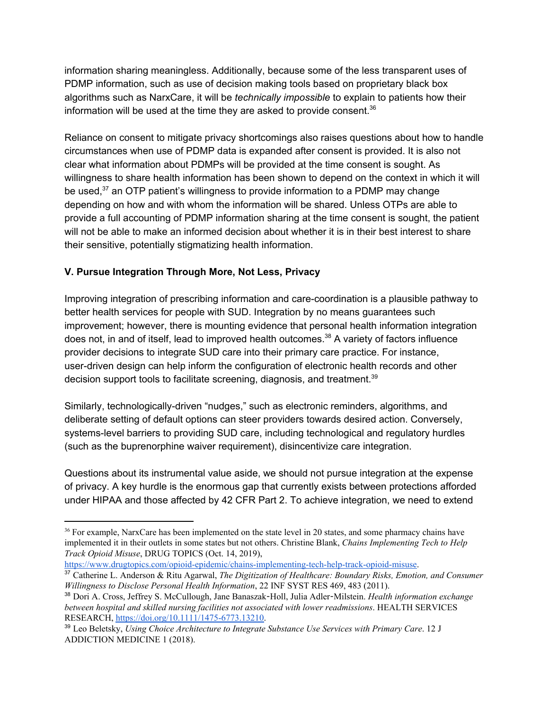information sharing meaningless. Additionally, because some of the less transparent uses of PDMP information, such as use of decision making tools based on proprietary black box algorithms such as NarxCare, it will be *technically impossible* to explain to patients how their information will be used at the time they are asked to provide consent. $36$ 

Reliance on consent to mitigate privacy shortcomings also raises questions about how to handle circumstances when use of PDMP data is expanded after consent is provided. It is also not clear what information about PDMPs will be provided at the time consent is sought. As willingness to share health information has been shown to depend on the context in which it will be used, $37$  an OTP patient's willingness to provide information to a PDMP may change depending on how and with whom the information will be shared. Unless OTPs are able to provide a full accounting of PDMP information sharing at the time consent is sought, the patient will not be able to make an informed decision about whether it is in their best interest to share their sensitive, potentially stigmatizing health information.

## **V. Pursue Integration Through More, Not Less, Privacy**

Improving integration of prescribing information and care-coordination is a plausible pathway to better health services for people with SUD. Integration by no means guarantees such improvement; however, there is mounting evidence that personal health information integration does not, in and of itself, lead to improved health outcomes.<sup>38</sup> A variety of factors influence provider decisions to integrate SUD care into their primary care practice. For instance, user-driven design can help inform the configuration of electronic health records and other decision support tools to facilitate screening, diagnosis, and treatment.<sup>39</sup>

Similarly, technologically-driven "nudges," such as electronic reminders, algorithms, and deliberate setting of default options can steer providers towards desired action. Conversely, systems-level barriers to providing SUD care, including technological and regulatory hurdles (such as the buprenorphine waiver requirement), disincentivize care integration.

Questions about its instrumental value aside, we should not pursue integration at the expense of privacy. A key hurdle is the enormous gap that currently exists between protections afforded under HIPAA and those affected by 42 CFR Part 2. To achieve integration, we need to extend

<https://www.drugtopics.com/opioid-epidemic/chains-implementing-tech-help-track-opioid-misuse>.

<sup>&</sup>lt;sup>36</sup> For example, NarxCare has been implemented on the state level in 20 states, and some pharmacy chains have implemented it in their outlets in some states but not others. Christine Blank, *Chains Implementing Tech to Help Track Opioid Misuse*, DRUG TOPICS (Oct. 14, 2019),

<sup>37</sup> Catherine L. Anderson & Ritu Agarwal, *The Digitization of Healthcare: Boundary Risks, Emotion, and Consumer Willingness to Disclose Personal Health Information*, 22 INF SYST RES 469, 483 (2011).

<sup>38</sup> Dori A. Cross, Jeffrey S. McCullough, Jane Banaszak-Holl, Julia Adler-Milstein. *Health information exchange between hospital and skilled nursing facilities not associated with lower readmissions*. HEALTH SERVICES RESEARCH, [https://doi.org/10.1111/1475-6773.13210.](https://doi.org/10.1111/1475-6773.13210)

<sup>39</sup> Leo Beletsky, *Using Choice Architecture to Integrate Substance Use Services with Primary Care*. 12 J ADDICTION MEDICINE 1 (2018).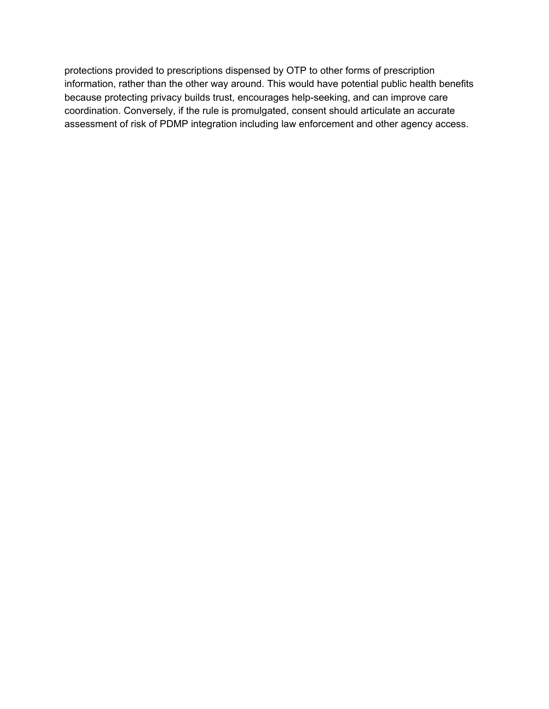protections provided to prescriptions dispensed by OTP to other forms of prescription information, rather than the other way around. This would have potential public health benefits because protecting privacy builds trust, encourages help-seeking, and can improve care coordination. Conversely, if the rule is promulgated, consent should articulate an accurate assessment of risk of PDMP integration including law enforcement and other agency access.